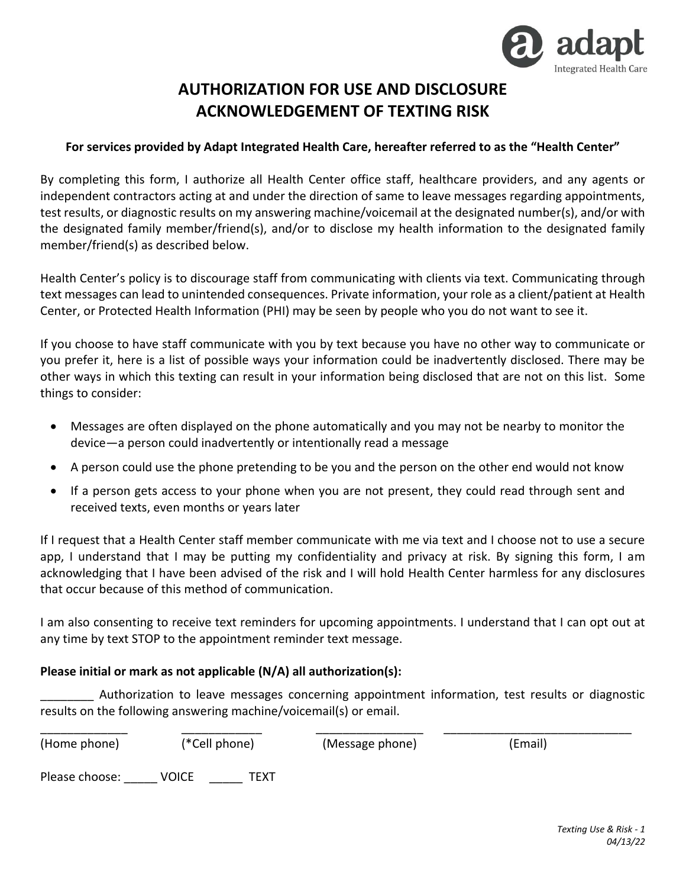

## **AUTHORIZATION FOR USE AND DISCLOSURE ACKNOWLEDGEMENT OF TEXTING RISK**

## **For services provided by Adapt Integrated Health Care, hereafter referred to as the "Health Center"**

By completing this form, I authorize all Health Center office staff, healthcare providers, and any agents or independent contractors acting at and under the direction of same to leave messages regarding appointments, test results, or diagnostic results on my answering machine/voicemail at the designated number(s), and/or with the designated family member/friend(s), and/or to disclose my health information to the designated family member/friend(s) as described below.

Health Center's policy is to discourage staff from communicating with clients via text. Communicating through text messages can lead to unintended consequences. Private information, your role as a client/patient at Health Center, or Protected Health Information (PHI) may be seen by people who you do not want to see it.

If you choose to have staff communicate with you by text because you have no other way to communicate or you prefer it, here is a list of possible ways your information could be inadvertently disclosed. There may be other ways in which this texting can result in your information being disclosed that are not on this list. Some things to consider:

- Messages are often displayed on the phone automatically and you may not be nearby to monitor the device—a person could inadvertently or intentionally read a message
- A person could use the phone pretending to be you and the person on the other end would not know
- If a person gets access to your phone when you are not present, they could read through sent and received texts, even months or years later

If I request that a Health Center staff member communicate with me via text and I choose not to use a secure app, I understand that I may be putting my confidentiality and privacy at risk. By signing this form, I am acknowledging that I have been advised of the risk and I will hold Health Center harmless for any disclosures that occur because of this method of communication.

I am also consenting to receive text reminders for upcoming appointments. I understand that I can opt out at any time by text STOP to the appointment reminder text message.

## **Please initial or mark as not applicable (N/A) all authorization(s):**

\_\_\_\_\_\_\_\_ Authorization to leave messages concerning appointment information, test results or diagnostic results on the following answering machine/voicemail(s) or email.

| (Home phone)   | (*Cell phone) |      | (Message phone) | (Email) |  |
|----------------|---------------|------|-----------------|---------|--|
| Please choose: | VOICE         | TEXT |                 |         |  |